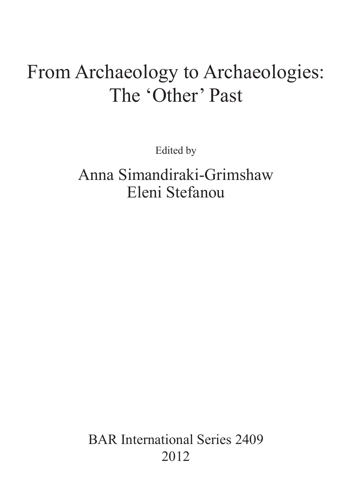# From Archaeology to Archaeologies: The 'Other' Past

Edited by

Anna Simandiraki-Grimshaw Eleni Stefanou

BAR International Series 2409 2012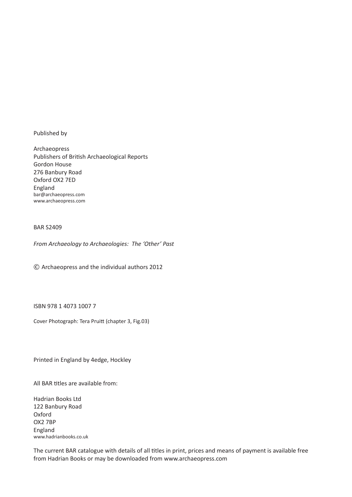Published by

Archaeopress Publishers of British Archaeological Reports Gordon House 276 Banbury Road Oxford OX2 7ED England bar@archaeopress.com www.archaeopress.com

# BAR S2409

*From Archaeology to Archaeologies: The 'Other' Past* 

© Archaeopress and the individual authors 2012

ISBN 978 1 4073 1007 7

Cover Photograph: Tera Pruitt (chapter 3, Fig.03)

Printed in England by 4edge, Hockley

All BAR titles are available from:

Hadrian Books Ltd 122 Banbury Road Oxford OX2 7BP England www.hadrianbooks.co.uk

The current BAR catalogue with details of all titles in print, prices and means of payment is available free from Hadrian Books or may be downloaded from www.archaeopress.com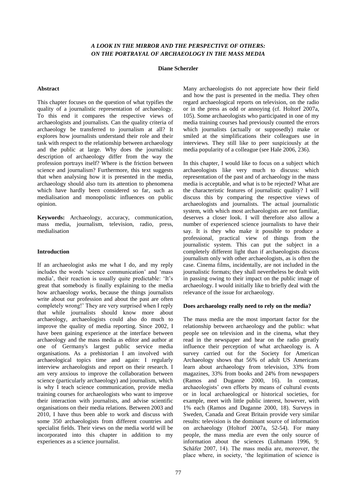# *A LOOK IN THE MIRROR AND THE PERSPECTIVE OF OTHERS: ON THE PORTRAYAL OF ARCHAEOLOGY IN THE MASS MEDIA*

## **Diane Scherzler**

#### **Abstract**

This chapter focuses on the question of what typifies the quality of a journalistic representation of archaeology. To this end it compares the respective views of archaeologists and journalists. Can the quality criteria of archaeology be transferred to journalism at all? It explores how journalists understand their role and their task with respect to the relationship between archaeology and the public at large. Why does the journalistic description of archaeology differ from the way the profession portrays itself? Where is the friction between science and journalism? Furthermore, this text suggests that when analysing how it is presented in the media, archaeology should also turn its attention to phenomena which have hardly been considered so far, such as medialisation and monopolistic influences on public opinion.

**Keywords:** Archaeology, accuracy, communication, mass media, journalism, television, radio, press, medialisation

#### **Introduction**

If an archaeologist asks me what I do, and my reply includes the words 'science communication' and 'mass media', their reaction is usually quite predictable: 'It's great that somebody is finally explaining to the media how archaeology works, because the things journalists write about our profession and about the past are often completely wrong!' They are very surprised when I reply that while journalists should know more about archaeology, archaeologists could also do much to improve the quality of media reporting. Since 2002, I have been gaining experience at the interface between archaeology and the mass media as editor and author at one of Germany's largest public service media organisations. As a prehistorian I am involved with archaeological topics time and again: I regularly interview archaeologists and report on their research. I am very anxious to improve the collaboration between science (particularly archaeology) and journalism, which is why I teach science communication, provide media training courses for archaeologists who want to improve their interaction with journalists, and advise scientific organisations on their media relations. Between 2003 and 2010, I have thus been able to work and discuss with some 350 archaeologists from different countries and specialist fields. Their views on the media world will be incorporated into this chapter in addition to my experiences as a science journalist.

Many archaeologists do not appreciate how their field and how the past is presented in the media. They often regard archaeological reports on television, on the radio or in the press as odd or annoying (cf. Holtorf 2007a, 105). Some archaeologists who participated in one of my media training courses had previously counted the errors which journalists (actually or supposedly) make or smiled at the simplifications their colleagues use in interviews. They still like to peer suspiciously at the media popularity of a colleague (see Hale 2006, 236).

In this chapter, I would like to focus on a subject which archaeologists like very much to discuss: which representation of the past and of archaeology in the mass media is acceptable, and what is to be rejected? What are the characteristic features of journalistic quality? I will discuss this by comparing the respective views of archaeologists and journalists. The actual journalistic system, with which most archaeologists are not familiar, deserves a closer look. I will therefore also allow a number of experienced science journalists to have their say. It is they who make it possible to produce a professional, practical view of things from the journalistic system. This can put the subject in a completely different light than if archaeologists discuss journalism only with other archaeologists, as is often the case. Cinema films, incidentally, are not included in the journalistic formats; they shall nevertheless be dealt with in passing owing to their impact on the public image of archaeology. I would initially like to briefly deal with the relevance of the issue for archaeology.

#### **Does archaeology really need to rely on the media?**

The mass media are the most important factor for the relationship between archaeology and the public: what people see on television and in the cinema, what they read in the newspaper and hear on the radio greatly influence their perception of what archaeology is. A survey carried out for the Society for American Archaeology shows that 56% of adult US Americans learn about archaeology from television, 33% from magazines, 33% from books and 24% from newspapers (Ramos and Duganne 2000, 16). In contrast, archaeologists' own efforts by means of cultural events or in local archaeological or historical societies, for example, meet with little public interest, however, with 1% each (Ramos and Duganne 2000, 18). Surveys in Sweden, Canada and Great Britain provide very similar results: television is the dominant source of information on archaeology (Holtorf 2007a, 52-54). For many people, the mass media are even the only source of information about the sciences (Luhmann 1996, 9; Schäfer 2007, 14). The mass media are, moreover, the place where, in society, 'the legitimation of science is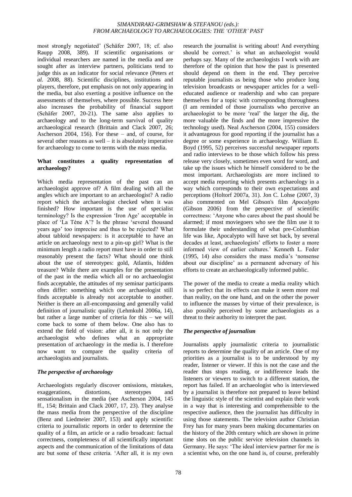most strongly negotiated' (Schäfer 2007, 18; cf. also Raupp 2008, 389). If scientific organisations or individual researchers are named in the media and are sought after as interview partners, politicians tend to judge this as an indicator for social relevance (Peters *et al.* 2008, 88). Scientific disciplines, institutions and players, therefore, put emphasis on not only appearing in the media, but also exerting a positive influence on the assessments of themselves, where possible. Success here also increases the probability of financial support (Schäfer 2007, 20-21). The same also applies to archaeology and to the long-term survival of quality archaeological research (Brittain and Clack 2007, 26; Ascherson 2004, 156). For these – and, of course, for several other reasons as well – it is absolutely imperative for archaeology to come to terms with the mass media.

## **What constitutes a quality representation of archaeology?**

Which media representation of the past can an archaeologist approve of? A film dealing with all the angles which are important to an archaeologist? A radio report which the archaeologist checked when it was finished? How important is the use of specialist terminology? Is the expression 'Iron Age' acceptable in place of 'La Tène A'? Is the phrase 'several thousand years ago' too imprecise and thus to be rejected? What about tabloid newspapers: is it acceptable to have an article on archaeology next to a pin-up girl? What is the minimum length a radio report must have in order to still reasonably present the facts? What should one think about the use of stereotypes: gold, Atlantis, hidden treasure? While there are examples for the presentation of the past in the media which all or no archaeologist finds acceptable, the attitudes of my seminar participants often differ: something which one archaeologist still finds acceptable is already not acceptable to another. Neither is there an all-encompassing and generally valid definition of journalistic quality (Lehmkuhl 2006a, 14), but rather a large number of criteria for this – we will come back to some of them below. One also has to extend the field of vision: after all, it is not only the archaeologist who defines what an appropriate presentation of archaeology in the media is. I therefore now want to compare the quality criteria of archaeologists and journalists.

# *The perspective of archaeology*

Archaeologists regularly discover omissions, mistakes, exaggerations, distortions, stereotypes and sensationalism in the media (see Ascherson 2004, 145 ff., 154; Brittain and Clack 2007, 17, 23). They analyse the mass media from the perspective of the discipline (Benz and Liedmeier 2007, 153) and apply scientific criteria to journalistic reports in order to determine the quality of a film, an article or a radio broadcast: factual correctness, completeness of all scientifically important aspects and the communication of the limitations of data are but some of these criteria. ‗After all, it is my own research the journalist is writing about! And everything should be correct.' is what an archaeologist would perhaps say. Many of the archaeologists I work with are therefore of the opinion that how the past is presented should depend on them in the end. They perceive reputable journalists as being those who produce long television broadcasts or newspaper articles for a welleducated audience or readership and who can prepare themselves for a topic with corresponding thoroughness (I am reminded of those journalists who perceive an archaeologist to be more 'real' the larger the dig, the more valuable the finds and the more impressive the technology used). Neal Ascherson (2004, 155) considers it advantageous for good reporting if the journalist has a degree or some experience in archaeology. William E. Boyd (1995, 52) perceives successful newspaper reports and radio interviews to be those which follow his press release very closely, sometimes even word for word, and take up the issues which he himself considered to be the most important. Archaeologists are more inclined to accept media reporting which presents archaeology in a way which corresponds to their own expectations and perceptions (Holtorf 2007a, 31). Jon C. Lohse (2007, 3) also commented on Mel Gibson's film *Apocalypto* (Gibson 2006) from the perspective of scientific correctness: ‗Anyone who cares about the past should be alarmed; if most moviegoers who see the film use it to formulate their understanding of what pre-Columbian life was like, Apocalypto will have set back, by several decades at least, archaeologists' efforts to foster a more informed view of earlier cultures.' Kenneth L. Feder (1995, 14) also considers the mass media's ‗nonsense about our discipline' as a permanent adversary of his efforts to create an archaeologically informed public.

The power of the media to create a media reality which is so perfect that its effects can make it seem more real than reality, on the one hand, and on the other the power to influence the masses by virtue of their prevalence, is also possibly perceived by some archaeologists as a threat to their authority to interpret the past.

# *The perspective of journalism*

Journalists apply journalistic criteria to journalistic reports to determine the quality of an article. One of my priorities as a journalist is to be understood by my reader, listener or viewer. If this is not the case and the reader thus stops reading, or indifference leads the listeners or viewers to switch to a different station, the report has failed. If an archaeologist who is interviewed by a journalist is therefore not prepared to leave behind the linguistic style of the scientist and explain their work in a way that is interesting and comprehensible to the respective audience, then the journalist has difficulty in using those statements. The television author Christian Frey has for many years been making documentaries on the history of the 20th century which are shown in prime time slots on the public service television channels in Germany. He says: 'The ideal interview partner for me is a scientist who, on the one hand is, of course, preferably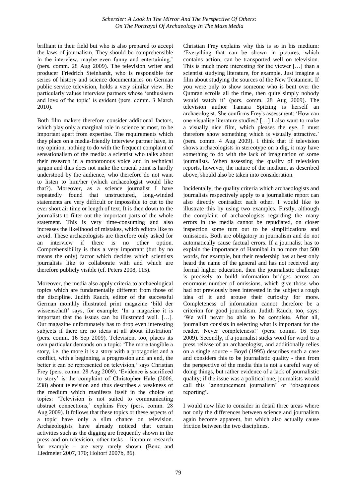brilliant in their field but who is also prepared to accept the laws of journalism. They should be comprehensible in the interview, maybe even funny and entertaining.' (pers. comm. 28 Aug 2009). The television writer and producer Friedrich Steinhardt, who is responsible for series of history and science documentaries on German public service television, holds a very similar view. He particularly values interview partners whose 'enthusiasm' and love of the topic' is evident (pers. comm. 3 March 2010).

Both film makers therefore consider additional factors, which play only a marginal role in science at most, to be important apart from expertise. The requirements which they place on a media-friendly interview partner have, in my opinion, nothing to do with the frequent complaint of sensationalism of the media: a scientist who talks about their research in a monotonous voice and in technical jargon and thus does not make the crucial point is hardly understood by the audience, who therefore do not want to listen to him/her (which archaeologist would like that?). Moreover, as a science journalist I have repeatedly found that unstructured, long-winded statements are very difficult or impossible to cut to the ever short air time or length of text. It is then down to the journalists to filter out the important parts of the whole statement. This is very time-consuming and also increases the likelihood of mistakes, which editors like to avoid. These archaeologists are therefore only asked for an interview if there is no other option. Comprehensibility is thus a very important (but by no means the only) factor which decides which scientists journalists like to collaborate with and which are therefore publicly visible (cf. Peters 2008, 115).

Moreover, the media also apply criteria to archaeological topics which are fundamentally different from those of the discipline. Judith Rauch, editor of the successful German monthly illustrated print magazine 'bild der wissenschaft' says, for example: 'In a magazine it is important that the issues can be illustrated well. […]. Our magazine unfortunately has to drop even interesting subjects if there are no ideas at all about illustration' (pers. comm. 16 Sep 2009). Television, too, places its own particular demands on a topic: 'The more tangible a story, i.e. the more it is a story with a protagonist and a conflict, with a beginning, a progression and an end, the better it can be represented on television,' says Christian Frey (pers. comm. 28 Aug 2009). 'Evidence is sacrificed to story' is the complaint of Christopher Hale (2006, 238) about television and thus describes a weakness of the medium which manifests itself in the choice of topics: ‗Television is not suited to communicating abstract connections,' explains Frey (pers. comm. 28 Aug 2009). It follows that these topics or these aspects of a topic have only a slim chance on television. Archaeologists have already noticed that certain activities such as the digging are frequently shown in the press and on television, other tasks – literature research for example – are very rarely shown (Benz and Liedmeier 2007, 170; Holtorf 2007b, 86).

Christian Frey explains why this is so in his medium: ‗Everything that can be shown in pictures, which contains action, can be transported well on television. This is much more interesting for the viewer […] than a scientist studying literature, for example. Just imagine a film about studying the sources of the New Testament. If you were only to show someone who is bent over the Qumran scrolls all the time, then quite simply nobody would watch it' (pers. comm. 28 Aug 2009). The television author Tamara Spitzing is herself an archaeologist. She confirms Frey's assessment: ‗How can one visualise literature studies? […] I also want to make a visually nice film, which pleases the eye. I must therefore show something which is visually attractive.' (pers. comm. 4 Aug 2009). I think that if television shows archaeologists in stereotype on a dig, it may have something to do with the lack of imagination of some journalists. When assessing the quality of television reports, however, the nature of the medium, as described above, should also be taken into consideration.

Incidentally, the quality criteria which archaeologists and journalists respectively apply to a journalistic report can also directly contradict each other. I would like to illustrate this by using two examples. Firstly, although the complaint of archaeologists regarding the many errors in the media cannot be repudiated, on closer inspection some turn out to be simplifications and omissions. Both are obligatory in journalism and do not automatically cause factual errors. If a journalist has to explain the importance of Hannibal in no more that 500 words, for example, but their readership has at best only heard the name of the general and has not received any formal higher education, then the journalistic challenge is precisely to build information bridges across an enormous number of omissions, which give those who had not previously been interested in the subject a rough idea of it and arouse their curiosity for more. Completeness of information cannot therefore be a criterion for good journalism. Judith Rauch, too, says: ‗We will never be able to be complete. After all, journalism consists in selecting what is important for the reader. Never completeness!' (pers. comm. 16 Sep 2009). Secondly, if a journalist sticks word for word to a press release of an archaeologist, and additionally relies on a single source - Boyd (1995) describes such a case and considers this to be journalistic quality - then from the perspective of the media this is not a careful way of doing things, but rather evidence of a lack of journalistic quality; if the issue was a political one, journalists would call this 'announcement journalism' or 'obsequious reporting'.

I would now like to consider in detail three areas where not only the differences between science and journalism again become apparent, but which also actually cause friction between the two disciplines.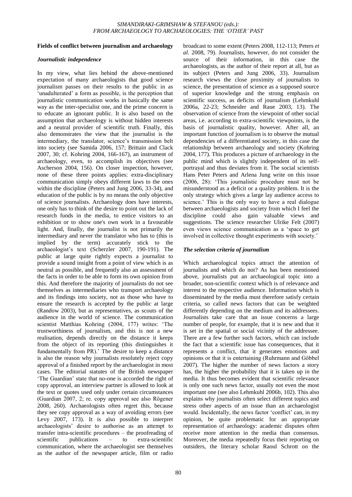#### **Fields of conflict between journalism and archaeology**

#### *Journalistic independence*

In my view, what lies behind the above-mentioned expectation of many archaeologists that good science journalism passes on their results to the public in as 'unadulterated' a form as possible, is the perception that journalistic communication works in basically the same way as the inter-specialist one, and the prime concern is to educate an ignorant public. It is also based on the assumption that archaeology is without hidden interests and a neutral provider of scientific truth. Finally, this also demonstrates the view that the journalist is the intermediary, the translator, science's transmission belt into society (see Samida 2006, 157; Brittain and Clack 2007, 30; cf. Kohring 2004, 166-167), an instrument of archaeology, even, to accomplish its objectives (see Ascherson 2004, 156). On closer inspection, however, none of these three points applies: extra-disciplinary communication simply obeys different laws to the ones within the discipline (Peters and Jung 2006, 33-34), and education of the public is by no means the only objective of science journalists. Archaeology does have interests, one only has to think of the desire to point out the lack of research funds in the media, to entice visitors to an exhibition or to show one's own work in a favourable light. And, finally, the journalist is not primarily the intermediary and never the translator who has to (this is implied by the term) accurately stick to the archaeologist's text (Scherzler 2007, 190-191). The public at large quite rightly expects a journalist to provide a sound insight from a point of view which is as neutral as possible, and frequently also an assessment of the facts in order to be able to form its own opinion from this. And therefore the majority of journalists do not see themselves as intermediaries who transport archaeology and its findings into society, not as those who have to ensure the research is accepted by the public at large (Randow 2003), but as representatives, as scouts of the audience in the world of science. The communication scientist Matthias Kohring (2004, 177) writes: 'The trustworthiness of journalism, and this is not a new realisation, depends directly on the distance it keeps from the object of its reporting (this distinguishes it fundamentally from PR).' The desire to keep a distance is also the reason why journalists resolutely reject copy approval of a finished report by the archaeologist in most cases. The editorial statutes of the British newspaper ‗The Guardian' state that no-one is accorded the right of copy approval, an interview partner is allowed to look at the text or quotes used only under certain circumstances (Guardian 2007, 2; re. copy approval see also Rögener 2008, 260). Archaeologists often regret this, because they see copy approval as a way of avoiding errors (see Levy 2007, 173). It is also possible to interpret archaeologists' desire to authorise as an attempt to transfer intra-scientific procedures – the proofreading of scientific publications – to extra-scientific communication, where the archaeologist see themselves as the author of the newspaper article, film or radio broadcast to some extent (Peters 2008, 112-113; Peters *et al.* 2008, 79). Journalists, however, do not consider the source of their information, in this case the archaeologists, as the author of their report at all, but as its subject (Peters and Jung 2006, 33). Journalism research views the close proximity of journalists to science, the presentation of science as a supposed source of superior knowledge and the strong emphasis on scientific success, as deficits of journalism (Lehmkuhl 2006a, 22-23; Schneider and Raue 2003, 13). The observation of science from the viewpoint of other social areas, i.e. according to extra-scientific viewpoints, is the basis of journalistic quality, however. After all, an important function of journalism is to observe the mutual dependencies of a differentiated society, in this case the relationship between archaeology and society (Kohring 2004, 177). This produces a picture of archaeology in the public mind which is slightly independent of its selfportrayal and thus deviates from it. The social scientists Hans Peter Peters and Arlena Jung write on this issue (2006, 28): ‗This journalistic procedure must not be misunderstood as a deficit or a quality problem. It is the only strategy which gives a large lay audience access to science.' This is the only way to have a real dialogue between archaeologists and society from which I feel the discipline could also gain valuable views and suggestions. The science researcher Ulrike Felt (2007) even views science communication as a 'space to get involved in collective thought experiments with society.'

#### *The selection criteria of journalism*

Which archaeological topics attract the attention of journalists and which do not? As has been mentioned above, journalists put an archaeological topic into a broader, non-scientific context which is of relevance and interest to the respective audience. Information which is disseminated by the media must therefore satisfy certain criteria, so called news factors that can be weighted differently depending on the medium and its addressees. Journalists take care that an issue concerns a large number of people, for example, that it is new and that it is set in the spatial or social vicinity of the addressee. There are a few further such factors, which can include the fact that a scientific issue has consequences, that it represents a conflict, that it generates emotions and opinions or that it is entertaining (Ruhrmann and Göbbel 2007). The higher the number of news factors a story has, the higher the probability that it is taken up in the media. It thus becomes evident that scientific relevance is only one such news factor, usually not even the most important one (see also Lehmkuhl 2006b, 102). This also explains why journalists often select different topics and stress other aspects of an issue than an archaeologist would. Incidentally, the news factor 'conflict' can, in my opinion, be quite problematic for an appropriate representation of archaeology: academic disputes often receive more attention in the media than consensus. Moreover, the media repeatedly focus their reporting on outsiders, the literary scholar Raoul Schrott on the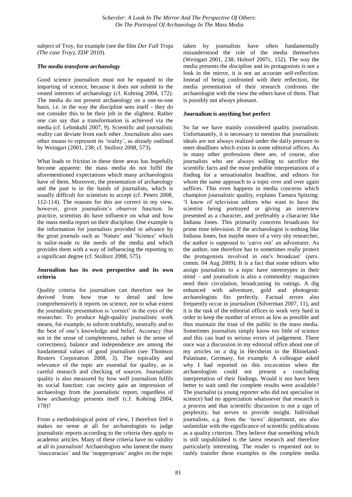subject of Troy, for example (see the film *Der Fall Troja (The case Troy)*, ZDF 2010).

## *The media transform archaeology*

Good science journalism must not be equated to the imparting of science, because it does not submit to the vested interests of archaeology (cf. Kohring 2004, 172). The media do not present archaeology on a one-to-one basis, i.e. in the way the discipline sees itself - they do not consider this to be their job in the slightest. Rather one can say that a transformation is achieved via the media (cf. Lehmkuhl 2007, 9). Scientific and journalistic reality can deviate from each other. Journalism also uses other means to represent its 'reality', as already outlined by Weingart (2001, 238; cf. Stollorz 2008, 573).

What leads to friction in these three areas has hopefully become apparent: the mass media do not fulfil the aforementioned expectations which many archaeologists have of them. Moreover, the presentation of archaeology and the past is in the hands of journalists, which is usually difficult for scientists to accept (cf. Peters 2008, 112-114). The reasons for this are correct in my view, however, given journalism's observer function. In practice, scientists do have influence on what and how the mass media report on their discipline. One example is the information for journalists provided in advance by the great journals such as 'Nature' and 'Science' which is tailor-made to the needs of the media and which provides them with a way of influencing the reporting to a significant degree (cf. Stollorz 2008, 575).

# **Journalism has its own perspective and its own criteria**

Quality criteria for journalism can therefore not be derived from how true to detail and how comprehensively it reports on science, nor to what extent the journalistic presentation is ‗correct' in the eyes of the researcher. To produce high-quality journalistic work means, for example, to inform truthfully, neutrally and to the best of one's knowledge and belief. Accuracy (but not in the sense of completeness, rather in the sense of correctness), balance and independence are among the fundamental values of good journalism (see Thomson Reuters Corporation 2008, 3). The topicality and relevance of the topic are essential for quality, as is careful research and checking of sources. Journalistic quality is also measured by how well journalism fulfils its social function: can society gain an impression of archaeology from the journalistic report, regardless of how archaeology presents itself (c.f. Kohring 2004, 178)?

From a methodological point of view, I therefore feel it makes no sense at all for archaeologists to judge journalistic reports according to the criteria they apply to academic articles. Many of these criteria have no validity at all in journalism! Archaeologists who lament the many ‗inaccuracies' and the ‗inappropriate' angles on the topic taken by journalists have often fundamentally misunderstood the role of the media themselves (Weingart 2001, 238; Holtorf 2007c, 152). The way the media presents the discipline and its protagonists is not a look in the mirror, it is not an accurate self-reflection. Instead of being confronted with their reflection, the media presentation of their research confronts the archaeologist with the view the others have of them. That is possibly not always pleasant.

## **Journalism is anything but perfect**

So far we have mainly considered quality journalism. Unfortunately, it is necessary to mention that journalistic ideals are not always realized under the daily pressure to meet deadlines which exists in some editorial offices. As in many other professions there are, of course, also journalists who are always willing to sacrifice the scientific facts and the most probable interpretations of a finding for a sensationalist headline, and editors for whom the same approach to a topic over and over again suffices. This even happens in media concerns which champion journalistic quality, explains Tamara Spitzing: ‗I know of television editors who want to have the scientist being portrayed or giving an interview presented as a character, and preferably a character like Indiana Jones. This primarily concerns broadcasts for prime time television. If the archaeologist is nothing like Indiana Jones, but maybe more of a very shy researcher, the author is supposed to 'carve out' an adventurer. As the author, one therefore has to sometimes really protect the protagonists involved in one's broadcast' (pers. comm. 04 Aug 2009). It is a fact that some editors who assign journalists to a topic have stereotypes in their mind – and journalism is also a commodity: magazines need their circulation, broadcasting its ratings. A dig enhanced with adventure, gold and photogenic archaeologists fits perfectly. Factual errors also frequently occur in journalism (Silverman 2007, 11), and it is the task of the editorial offices to work very hard in order to keep the number of errors as low as possible and thus maintain the trust of the public in the mass media. Sometimes journalists simply know too little of science and this can lead to serious errors of judgement. There once was a discussion in my editorial office about one of my articles on a dig in Herxheim in the Rhineland-Palatinate, Germany, for example. A colleague asked why I had reported on this excavation when the archaeologists could not present a concluding interpretation of their findings. Would it not have been better to wait until the complete results were available? The journalist (a young reporter who did not specialise in science) had no appreciation whatsoever that research is a process and that scientific discussion is not a sign of perplexity, but serves to provide insight. Individual journalists, e.g. from the 'news' department, are also unfamiliar with the significance of scientific publications as a quality criterion. They believe that something which is still unpublished is the latest research and therefore particularly interesting. The reader is requested not to rashly transfer these examples to the complete media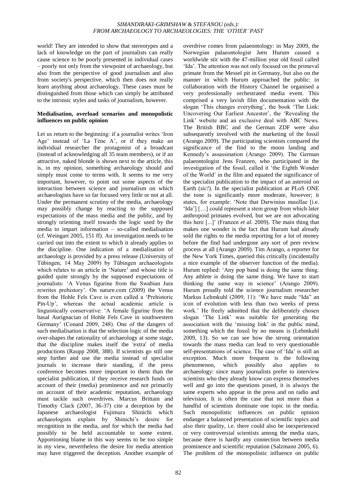world! They are intended to show that stereotypes and a lack of knowledge on the part of journalists can really cause science to be poorly presented in individual cases – poorly not only from the viewpoint of archaeology, but also from the perspective of good journalism and also from society's perspective, which then does not really learn anything about archaeology. These cases must be distinguished from those which can simply be attributed to the intrinsic styles and tasks of journalism, however.

## **Medialisation, overload scenarios and monopolistic influences on public opinion**

Let us return to the beginning: if a journalist writes 'Iron Age' instead of 'La Tène A', or if they make an individual researcher the protagonist of a broadcast (instead of acknowledging all 35 team members), or if an attractive, naked blonde is shown next to the article, this is, in my opinion, something archaeology should and simply must come to terms with. It seems to me very important, however, to point out some aspects of the interaction between science and journalism on which archaeologists have so far focused very little or not at all. Under the permanent scrutiny of the media, archaeology may possibly change by reacting to the supposed expectations of the mass media and the public, and by strongly orienting itself towards the logic used by the media to impart information – so-called medialisation (cf. Weingart 2005, 151 ff). An investigation needs to be carried out into the extent to which it already applies to the discipline. One indication of a medialisation of archaeology is provided by a press release (University of Tübingen, 14 May 2009) by Tübingen archaeologists which relates to an article in 'Nature' and whose title is guided quite strongly by the supposed expectations of journalists: ‗A Venus figurine from the Swabian Jura rewrites prehistory'. On nature.com (2009) the Venus from the Hohle Fels Cave is even called a 'Prehistoric Pin-Up', whereas the actual academic article is linguistically conservative: ‗A female figurine from the basal Aurignacian of Hohle Fels Cave in southwestern Germany' (Conard 2009, 248). One of the dangers of such medialisation is that the selection logic of the media over-shapes the rationality of archaeology at some stage, that the discipline makes itself the 'extra' of media productions (Raupp 2008, 388). If scientists go still one step further and use the media instead of specialist journals to increase their standing, if the press conference becomes more important to them than the specialist publication, if they receive research funds on account of their (media) prominence and not primarily on account of their academic reputation, archaeology must tackle such overdrives. Marcus Brittain and Timothy Clack (2007, 36-37) cite a deception by the Japanese archaeologist Fujimura Shinichi which archaeologists explain by Shinichi's desire for recognition in the media, and for which the media had possibly to be held accountable to some extent. Apportioning blame in this way seems to be too simple in my view, nevertheless the desire for media attention may have triggered the deception. Another example of

Norwegian palaeontologist Jørn Hurum caused a worldwide stir with the 47-million year old fossil called 'Ida'. The attention was not only focused on the primeval primate from the Messel pit in Germany, but also on the manner in which Hurum approached the public: in collaboration with the History Channel he organised a very professionally orchestrated media event. This comprised a very lavish film documentation with the slogan 'This changes everything', the book 'The Link: Uncovering Our Earliest Ancestor', the 'Revealing the Link' website and an exclusive deal with ABC News. The British BBC and the German ZDF were also subsequently involved with the marketing of the fossil (Arango 2009). The participating scientists compared the significance of the find to the moon landing and Kennedy's assassination (Arango 2009). The German palaeontologist Jens Franzen, who participated in the investigation of the fossil, called it 'the Eighth Wonder of the World' in the film and equated the significance of the specialist publication to the impact of an asteroid on Earth (*sic!*). In the specialist publication at PLoS ONE the tone is significantly more moderate, however; it states, for example: 'Note that Darwinius masillae [i.e.] 'Ida'] [...] could represent a stem group from which later anthropoid primates evolved, but we are not advocating this here [...]' (Franzen *et al.* 2009). The main thing that makes one wonder is the fact that Hurum had already sold the rights to the media reporting for a lot of money before the find had undergone any sort of peer review process at all (Arango 2009). Tim Arango, a reporter for the New York Times, queried this critically (incidentally a nice example of the observer function of the media). Hurum replied: 'Any pop band is doing the same thing. Any athlete is doing the same thing. We have to start thinking the same way in science' (Arango 2009). Hurum proudly told the science journalism researcher Markus Lehmkuhl (2009, 11): 'We have made "Ida" an icon of evolution with less than two weeks of press work.' He freely admitted that the deliberately chosen slogan ‗The Link' was suitable for generating the association with the 'missing link' in the public mind, something which the fossil by no means is (Lehmkuhl 2009, 13). So we can see how the strong orientation towards the mass media can lead to very questionable self-presentations of science. The case of 'Ida' is still an exception. Much more frequent is the following phenomenon, which possibly also applies to archaeology: since many journalists prefer to interview scientists who they already know can express themselves well and go into the questions posed, it is always the same experts who appear in the press and on radio and television. It is often the case that not more than a handful of scientists dominate one topic in the media. Such monopolistic influences on public opinion endanger a balanced presentation of scientific topics and also their quality, i.e. there could also be inexperienced or very controversial scientists among the media stars, because there is hardly any connection between media prominence and scientific reputation (Salzmann 2005, 6). The problem of the monopolistic influence on public

overdrive comes from palaeontology: in May 2009, the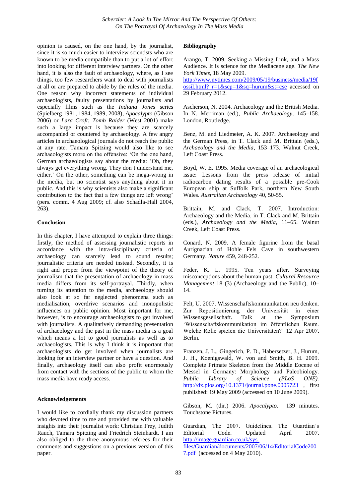opinion is caused, on the one hand, by the journalist, since it is so much easier to interview scientists who are known to be media compatible than to put a lot of effort into looking for different interview partners. On the other hand, it is also the fault of archaeology, where, as I see things, too few researchers want to deal with journalists at all or are prepared to abide by the rules of the media. One reason why incorrect statements of individual archaeologists, faulty presentations by journalists and especially films such as the *Indiana Jones* series (Spielberg 1981, 1984, 1989, 2008), *Apocalypto* (Gibson 2006) or *Lara Croft: Tomb Raider* (West 2001) make such a large impact is because they are scarcely accompanied or countered by archaeology. A few angry articles in archaeological journals do not reach the public at any rate. Tamara Spitzing would also like to see archaeologists more on the offensive: ‗On the one hand, German archaeologists say about the media: 'Oh, they always get everything wrong. They don't understand me, either.' On the other, something can be mega-wrong in the media, but no scientist says anything about it in public. And this is why scientists also make a significant contribution to the fact that a few things are left wrong' (pers. comm. 4 Aug 2009; cf. also Schadla-Hall 2004, 263).

# **Conclusion**

In this chapter, I have attempted to explain three things: firstly, the method of assessing journalistic reports in accordance with the intra-disciplinary criteria of archaeology can scarcely lead to sound results; journalistic criteria are needed instead. Secondly, it is right and proper from the viewpoint of the theory of journalism that the presentation of archaeology in mass media differs from its self-portrayal. Thirdly, when turning its attention to the media, archaeology should also look at so far neglected phenomena such as medialisation, overdrive scenarios and monopolistic influences on public opinion. Most important for me, however, is to encourage archaeologists to get involved with journalists. A qualitatively demanding presentation of archaeology and the past in the mass media is a goal which means a lot to good journalists as well as to archaeologists. This is why I think it is important that archaeologists do get involved when journalists are looking for an interview partner or have a question. And finally, archaeology itself can also profit enormously from contact with the sections of the public to whom the mass media have ready access.

## **Acknowledgements**

I would like to cordially thank my discussion partners who devoted time to me and provided me with valuable insights into their journalist work: Christian Frey, Judith Rauch, Tamara Spitzing and Friedrich Steinhardt. I am also obliged to the three anonymous referees for their comments and suggestions on a previous version of this paper.

## **Bibliography**

Arango, T. 2009. Seeking a Missing Link, and a Mass Audience. It is science for the Mediacene age. *The New York Times*, 18 May 2009.

[http://www.nytimes.com/2009/05/19/business/media/19f](http://www.nytimes.com/2009/05/19/business/media/19fossil.html?_r=1&scp=1&sq=hurum&st=cse) ossil.html?  $r=1$ &scp= $1$ &sq=hurum&st=cse accessed on 29 February 2012.

Ascherson, N. 2004. Archaeology and the British Media. In N. Merriman (ed.), *Public Archaeology*, 145–158. London, Routledge.

Benz, M. and Liedmeier, A. K. 2007. Archaeology and the German Press, in T. Clack and M. Brittain (eds.), *Archaeology and the Media*, 153–173. Walnut Creek, Left Coast Press.

Boyd, W. E. 1995. Media coverage of an archaeological issue: Lessons from the press release of initial radiocarbon dating results of a possible pre-Cook European ship at Suffolk Park, northern New South Wales. *Australian Archaeology* 40, 50-55.

Brittain, M. and Clack, T. 2007. Introduction: Archaeology and the Media, in T. Clack and M. Brittain (eds.), *Archaeology and the Media*, 11–65. Walnut Creek, Left Coast Press.

Conard, N. 2009. A female figurine from the basal Aurignacian of Hohle Fels Cave in southwestern Germany. *Nature* 459, 248-252.

Feder, K. L. 1995. Ten years after. Surveying misconceptions about the human past. *Cultural Resource Management* 18 (3) (Archaeology and the Public), 10– 14.

Felt, U. 2007. Wissenschaftskommunikation neu denken. Zur Repositionierung der Universität in einer Wissensgesellschaft. Talk at the Symposium ‗Wissenschaftskommunikation im öffentlichen Raum. Welche Rolle spielen die Universitäten?' 12 Apr 2007. Berlin.

Franzen, J. L., Gingerich, P. D., Habersetzer, J., Hurum, J. H., Koenigswald, W. von and Smith, B. H. 2009. Complete Primate Skeleton from the Middle Eocene of Messel in Germany: Morphology and Paleobiology. *Public Library of Science (PLoS ONE).*  <http://dx.plos.org/10.1371/journal.pone.0005723> , first published: 19 May 2009 (accessed on 10 June 2009).

Gibson, M. (dir.) 2006. *Apocalypto*. 139 minutes. Touchstone Pictures.

Guardian, The 2007. Guidelines. The Guardian's Editorial Code. Updated April 2007. [http://image.guardian.co.uk/sys](http://image.guardian.co.uk/sys-files/Guardian/documents/2007/06/14/EditorialCode2007.pdf)[files/Guardian/documents/2007/06/14/EditorialCode200](http://image.guardian.co.uk/sys-files/Guardian/documents/2007/06/14/EditorialCode2007.pdf) [7.pdf](http://image.guardian.co.uk/sys-files/Guardian/documents/2007/06/14/EditorialCode2007.pdf) (accessed on 4 May 2010).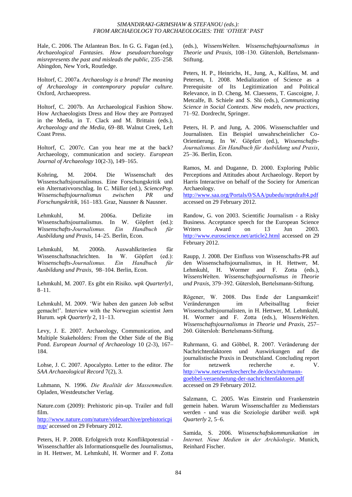Hale, C. 2006. The Atlantean Box. In G. G. Fagan (ed.), *Archaeological Fantasies. How pseudoarchaeology misrepresents the past and misleads the public,* 235–258. Abingdon, New York, Routledge.

Holtorf, C. 2007a. *Archaeology is a brand! The meaning of Archaeology in contemporary popular culture.* Oxford, Archaeopress.

Holtorf, C. 2007b. An Archaeological Fashion Show. How Archaeologists Dress and How they are Portrayed in the Media, in T. Clack and M. Brittain (eds.), *Archaeology and the Media*, 69–88. Walnut Creek, Left Coast Press.

Holtorf, C. 2007c. Can you hear me at the back? Archaeology, communication and society. *European Journal of Archaeology* 10(2-3), 149–165.

Kohring, M. 2004. Die Wissenschaft des Wissenschaftsjournalismus. Eine Forschungskritik und ein Alternativvorschlag. In C. Müller (ed.), *SciencePop. Wissenschaftsjournalismus zwischen PR und Forschungskritik*, 161–183. Graz, Nausner & Nausner.

Lehmkuhl, M. 2006a. Defizite im Wissenschaftsjournalismus. In W. Göpfert (ed.): *Wissenschafts-Journalismus. Ein Handbuch für Ausbildung und Praxis*, 14–25. Berlin, Econ.

Lehmkuhl, M. 2006b. Auswahlkriterien für Wissenschaftsnachrichten. In W. Göpfert (ed.): *Wissenschafts-Journalismus. Ein Handbuch für Ausbildung und Praxis*, 98–104. Berlin, Econ.

Lehmkuhl, M. 2007. Es gibt ein Risiko. *wpk Quarterly*1, 8–11.

Lehmkuhl, M. 2009. 'Wir haben den ganzen Job selbst gemacht!'. Interview with the Norwegian scientist Jørn Hurum. *wpk Quarterly* 2, 11–13.

Levy, J. E. 2007. Archaeology, Communication, and Multiple Stakeholders: From the Other Side of the Big Pond. *European Journal of Archaeology* 10 (2-3), 167– 184.

Lohse, J. C. 2007. Apocalypto. Letter to the editor. *The SAA Archaeological Record* 7(2), 3.

Luhmann, N. 1996. *Die Realität der Massenmedien.* Opladen, Westdeutscher Verlag.

Nature.com (2009): Prehistoric pin-up. Trailer and full film.

[http://www.nature.com/nature/videoarchive/prehistoricpi](http://www.nature.com/nature/videoarchive/prehistoricpinup/) [nup/](http://www.nature.com/nature/videoarchive/prehistoricpinup/) accessed on 29 February 2012.

Peters, H. P. 2008. Erfolgreich trotz Konfliktpotenzial - Wissenschaftler als Informationsquelle des Journalismus, in H. Hettwer, M. Lehmkuhl, H. Wormer and F. Zotta (eds.), *WissensWelten. Wissenschaftsjournalismus in Theorie und Praxis*, 108–130. Gütersloh, Bertelsmann-Stiftung.

Peters, H. P., Heinrichs, H., Jung, A., Kallfass, M. and Petersen, I. 2008. Medialization of Science as a Prerequisite of Its Legitimization and Political Relevance, in D. Cheng, M. Claessens, T. Gascoigne, J. Metcalfe, B. Schiele and S. Shi (eds.), *Communicating Science in Social Contexts. New models, new practices*, 71–92. Dordrecht, Springer.

Peters, H. P. and Jung, A. 2006. Wissenschaftler und Journalisten. Ein Beispiel unwahrscheinlicher Co-Orientierung. In W. Göpfert (ed.), *Wissenschafts-Journalismus. Ein Handbuch für Ausbildung und Praxis*, 25–36. Berlin, Econ.

Ramos, M. and Duganne, D. 2000. Exploring Public Perceptions and Attitudes about Archaeology. Report by Harris Interactive on behalf of the Society for American Archaeology.

<http://www.saa.org/Portals/0/SAA/pubedu/nrptdraft4.pdf> accessed on 29 February 2012.

Randow, G. von 2003. Scientific Journalism - a Risky Business. Acceptance speech for the European Science Writers Award on 13 Jun 2003. <http://www.euroscience.net/article2.html> accessed on 29 February 2012.

Raupp, J. 2008. Der Einfluss von Wissenschafts-PR auf den Wissenschaftsjournalismus, in H. Hettwer, M. Lehmkuhl, H. Wormer and F. Zotta (eds.), *WissensWelten. Wissenschaftsjournalismus in Theorie und Praxis*, 379–392. Gütersloh, Bertelsmann-Stiftung.

Rögener, W. 2008. Das Ende der Langsamkeit! Veränderungen im Arbeitsalltag freier Wissenschaftsjournalisten, in H. Hettwer, M. Lehmkuhl, H. Wormer and F. Zotta (eds.), *WissensWelten. Wissenschaftsjournalismus in Theorie und Praxis*, 257– 260. Gütersloh: Bertelsmann-Stiftung.

Ruhrmann, G. and Göbbel, R. 2007. Veränderung der Nachrichtenfaktoren und Auswirkungen auf die journalistische Praxis in Deutschland. Concluding report for netzwerk recherche e. V. [http://www.netzwerkrecherche.de/docs/ruhrmann](http://www.netzwerkrecherche.de/docs/ruhrmann-goebbel-veraenderung-der-nachrichtenfaktoren.pdf)[goebbel-veraenderung-der-nachrichtenfaktoren.pdf](http://www.netzwerkrecherche.de/docs/ruhrmann-goebbel-veraenderung-der-nachrichtenfaktoren.pdf) accessed on 29 February 2012.

Salzmann, C. 2005. Was Einstein und Frankenstein gemein haben. Warum Wissenschaftler zu Medienstars werden - und was die Soziologie darüber weiß. *wpk Quarterly* 2, 5–6.

Samida, S. 2006. *Wissenschaftskommunikation im Internet. Neue Medien in der Archäologie*. Munich, Reinhard Fischer.